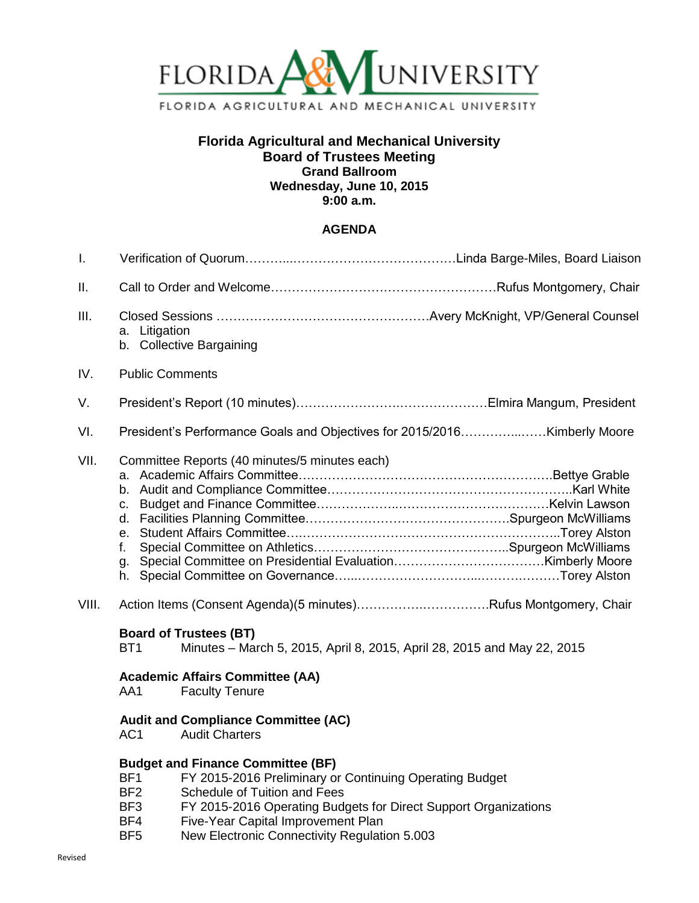

# **Florida Agricultural and Mechanical University Board of Trustees Meeting Grand Ballroom Wednesday, June 10, 2015 9:00 a.m.**

## **AGENDA**

| $\mathbf{L}$ |                                                                                        |                                                                                                                                                                                                                                              |  |
|--------------|----------------------------------------------------------------------------------------|----------------------------------------------------------------------------------------------------------------------------------------------------------------------------------------------------------------------------------------------|--|
| П.           |                                                                                        |                                                                                                                                                                                                                                              |  |
| III.         | a. Litigation                                                                          | b. Collective Bargaining                                                                                                                                                                                                                     |  |
| IV.          | <b>Public Comments</b>                                                                 |                                                                                                                                                                                                                                              |  |
| V.           |                                                                                        |                                                                                                                                                                                                                                              |  |
| VI.          |                                                                                        |                                                                                                                                                                                                                                              |  |
| VII.         | Committee Reports (40 minutes/5 minutes each)<br>f.                                    |                                                                                                                                                                                                                                              |  |
| VIII.        |                                                                                        | Action Items (Consent Agenda)(5 minutes)Rufus Montgomery, Chair                                                                                                                                                                              |  |
|              | BT <sub>1</sub>                                                                        | <b>Board of Trustees (BT)</b><br>Minutes - March 5, 2015, April 8, 2015, April 28, 2015 and May 22, 2015                                                                                                                                     |  |
|              | AA1                                                                                    | <b>Academic Affairs Committee (AA)</b><br><b>Faculty Tenure</b>                                                                                                                                                                              |  |
|              | <b>Audit and Compliance Committee (AC)</b><br>AC <sub>1</sub><br><b>Audit Charters</b> |                                                                                                                                                                                                                                              |  |
|              | BF <sub>1</sub><br>BF <sub>2</sub><br>BF <sub>3</sub><br>BF4                           | <b>Budget and Finance Committee (BF)</b><br>FY 2015-2016 Preliminary or Continuing Operating Budget<br>Schedule of Tuition and Fees<br>FY 2015-2016 Operating Budgets for Direct Support Organizations<br>Five-Year Capital Improvement Plan |  |

BF5 New Electronic Connectivity Regulation 5.003